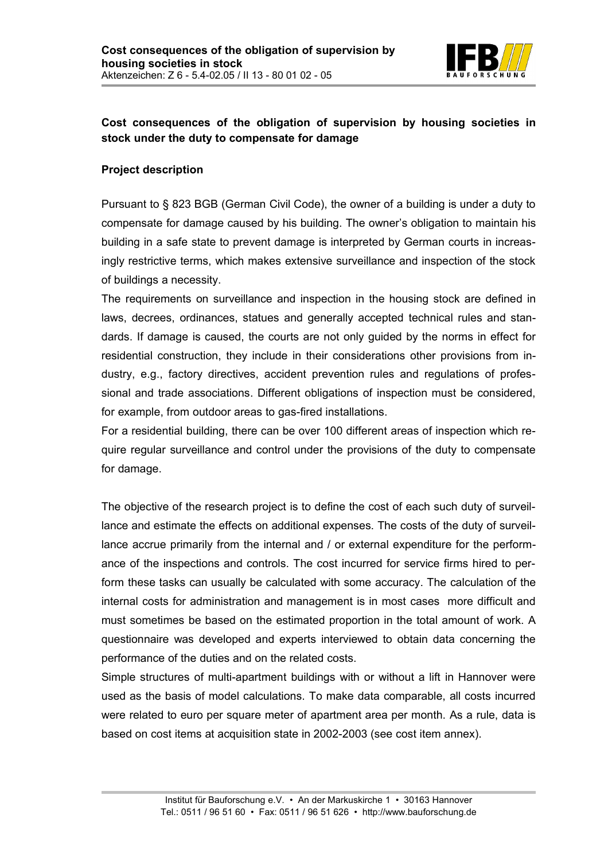

## **Cost consequences of the obligation of supervision by housing societies in stock under the duty to compensate for damage**

## **Project description**

Pursuant to § 823 BGB (German Civil Code), the owner of a building is under a duty to compensate for damage caused by his building. The owner's obligation to maintain his building in a safe state to prevent damage is interpreted by German courts in increasingly restrictive terms, which makes extensive surveillance and inspection of the stock of buildings a necessity.

The requirements on surveillance and inspection in the housing stock are defined in laws, decrees, ordinances, statues and generally accepted technical rules and standards. If damage is caused, the courts are not only guided by the norms in effect for residential construction, they include in their considerations other provisions from industry, e.g., factory directives, accident prevention rules and regulations of professional and trade associations. Different obligations of inspection must be considered, for example, from outdoor areas to gas-fired installations.

For a residential building, there can be over 100 different areas of inspection which require regular surveillance and control under the provisions of the duty to compensate for damage.

The objective of the research project is to define the cost of each such duty of surveillance and estimate the effects on additional expenses. The costs of the duty of surveillance accrue primarily from the internal and / or external expenditure for the performance of the inspections and controls. The cost incurred for service firms hired to perform these tasks can usually be calculated with some accuracy. The calculation of the internal costs for administration and management is in most cases more difficult and must sometimes be based on the estimated proportion in the total amount of work. A questionnaire was developed and experts interviewed to obtain data concerning the performance of the duties and on the related costs.

Simple structures of multi-apartment buildings with or without a lift in Hannover were used as the basis of model calculations. To make data comparable, all costs incurred were related to euro per square meter of apartment area per month. As a rule, data is based on cost items at acquisition state in 2002-2003 (see cost item annex).